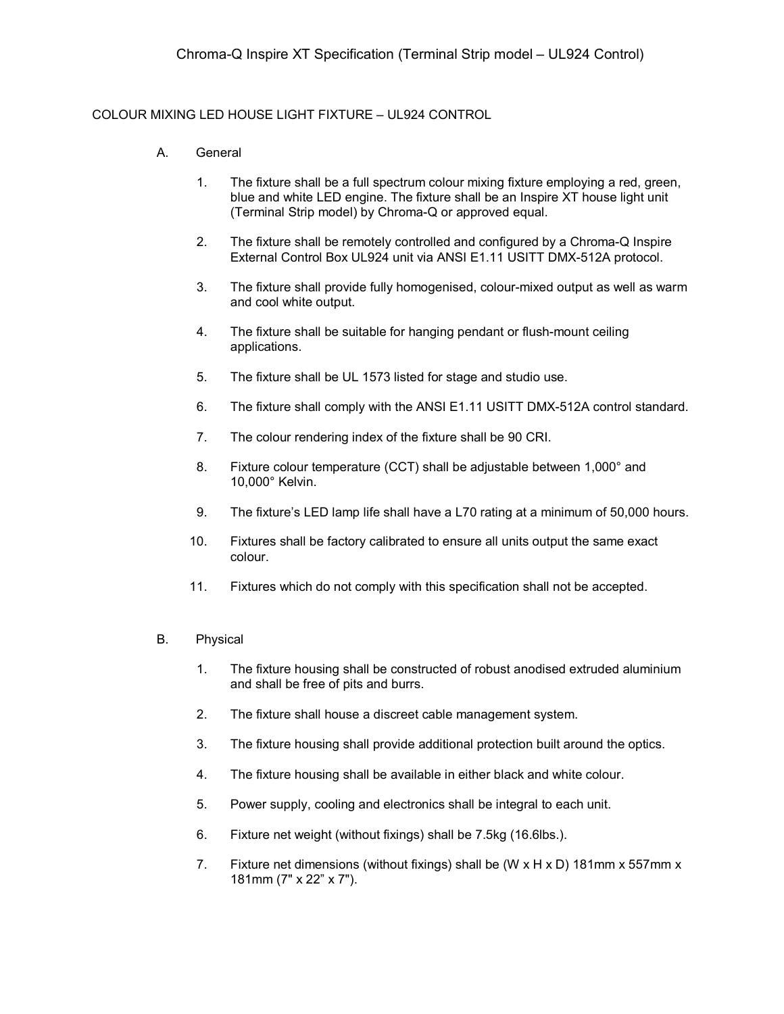## COLOUR MIXING LED HOUSE LIGHT FIXTURE – UL924 CONTROL

- A. General
	- 1. The fixture shall be a full spectrum colour mixing fixture employing a red, green, blue and white LED engine. The fixture shall be an Inspire XT house light unit (Terminal Strip model) by Chroma-Q or approved equal.
	- 2. The fixture shall be remotely controlled and configured by a Chroma-Q Inspire External Control Box UL924 unit via ANSI E1.11 USITT DMX-512A protocol.
	- 3. The fixture shall provide fully homogenised, colour-mixed output as well as warm and cool white output.
	- 4. The fixture shall be suitable for hanging pendant or flush-mount ceiling applications.
	- 5. The fixture shall be UL 1573 listed for stage and studio use.
	- 6. The fixture shall comply with the ANSI E1.11 USITT DMX-512A control standard.
	- 7. The colour rendering index of the fixture shall be 90 CRI.
	- 8. Fixture colour temperature (CCT) shall be adjustable between 1,000° and 10,000° Kelvin.
	- 9. The fixture's LED lamp life shall have a L70 rating at a minimum of 50,000 hours.
	- 10. Fixtures shall be factory calibrated to ensure all units output the same exact colour.
	- 11. Fixtures which do not comply with this specification shall not be accepted.

## B. Physical

- 1. The fixture housing shall be constructed of robust anodised extruded aluminium and shall be free of pits and burrs.
- 2. The fixture shall house a discreet cable management system.
- 3. The fixture housing shall provide additional protection built around the optics.
- 4. The fixture housing shall be available in either black and white colour.
- 5. Power supply, cooling and electronics shall be integral to each unit.
- 6. Fixture net weight (without fixings) shall be 7.5kg (16.6lbs.).
- 7. Fixture net dimensions (without fixings) shall be (W  $\times$  H  $\times$  D) 181mm  $\times$  557mm  $\times$ 181mm (7" x 22" x 7").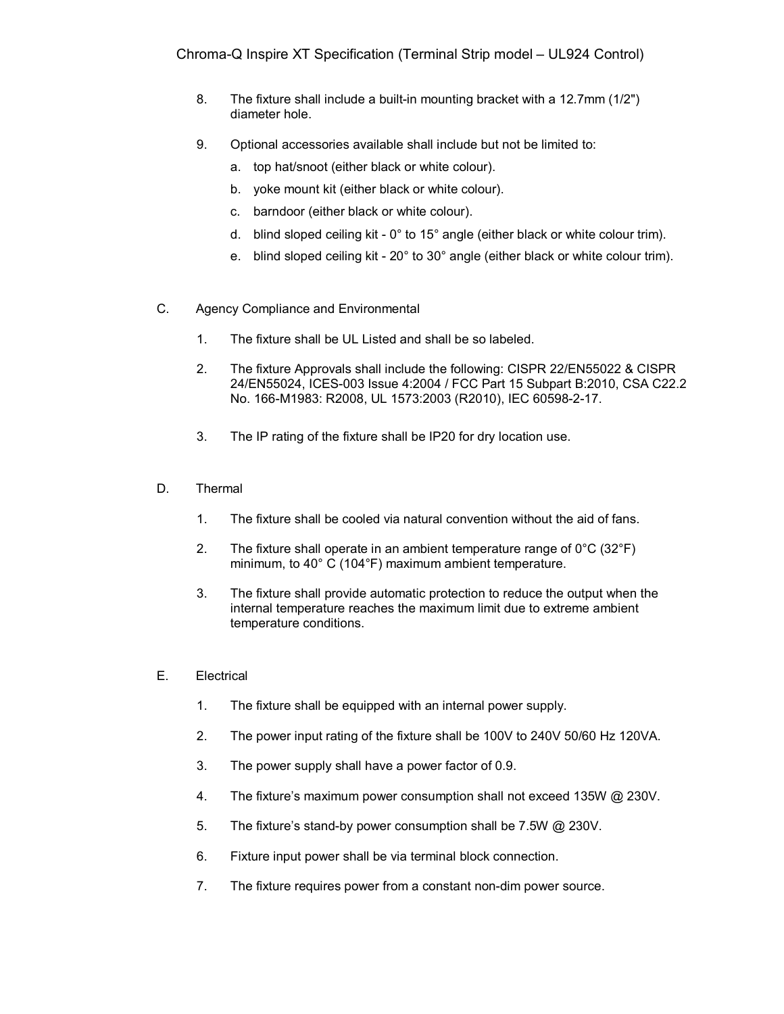- 8. The fixture shall include a built-in mounting bracket with a 12.7mm (1/2") diameter hole.
- 9. Optional accessories available shall include but not be limited to:
	- a. top hat/snoot (either black or white colour).
	- b. yoke mount kit (either black or white colour).
	- c. barndoor (either black or white colour).
	- d. blind sloped ceiling kit 0° to 15° angle (either black or white colour trim).
	- e. blind sloped ceiling kit 20° to 30° angle (either black or white colour trim).
- C. Agency Compliance and Environmental
	- 1. The fixture shall be UL Listed and shall be so labeled.
	- 2. The fixture Approvals shall include the following: CISPR 22/EN55022 & CISPR 24/EN55024, ICES-003 Issue 4:2004 / FCC Part 15 Subpart B:2010, CSA C22.2 No. 166-M1983: R2008, UL 1573:2003 (R2010), IEC 60598-2-17.
	- 3. The IP rating of the fixture shall be IP20 for dry location use.
- D. Thermal
	- 1. The fixture shall be cooled via natural convention without the aid of fans.
	- 2. The fixture shall operate in an ambient temperature range of  $0^{\circ}$ C (32 $^{\circ}$ F) minimum, to 40° C (104°F) maximum ambient temperature.
	- 3. The fixture shall provide automatic protection to reduce the output when the internal temperature reaches the maximum limit due to extreme ambient temperature conditions.
- E. Electrical
	- 1. The fixture shall be equipped with an internal power supply.
	- 2. The power input rating of the fixture shall be 100V to 240V 50/60 Hz 120VA.
	- 3. The power supply shall have a power factor of 0.9.
	- 4. The fixture's maximum power consumption shall not exceed 135W @ 230V.
	- 5. The fixture's stand-by power consumption shall be 7.5W @ 230V.
	- 6. Fixture input power shall be via terminal block connection.
	- 7. The fixture requires power from a constant non-dim power source.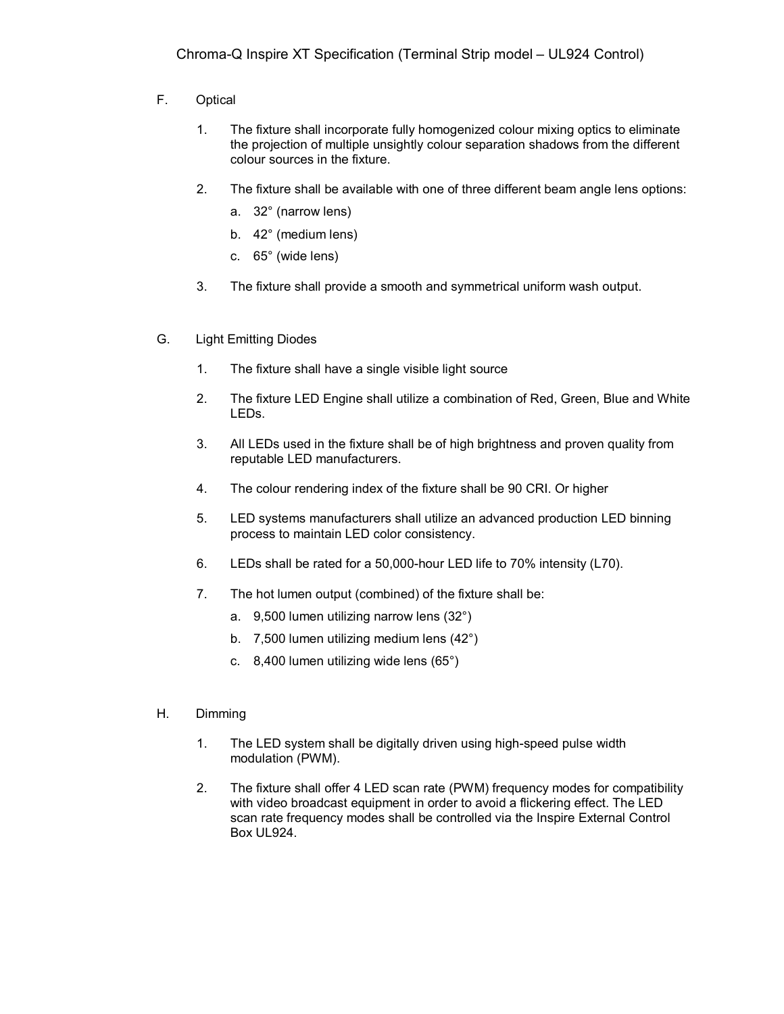- F. Optical
	- 1. The fixture shall incorporate fully homogenized colour mixing optics to eliminate the projection of multiple unsightly colour separation shadows from the different colour sources in the fixture.
	- 2. The fixture shall be available with one of three different beam angle lens options:
		- a. 32° (narrow lens)
		- b. 42° (medium lens)
		- c. 65° (wide lens)
	- 3. The fixture shall provide a smooth and symmetrical uniform wash output.
- G. Light Emitting Diodes
	- 1. The fixture shall have a single visible light source
	- 2. The fixture LED Engine shall utilize a combination of Red, Green, Blue and White LEDs.
	- 3. All LEDs used in the fixture shall be of high brightness and proven quality from reputable LED manufacturers.
	- 4. The colour rendering index of the fixture shall be 90 CRI. Or higher
	- 5. LED systems manufacturers shall utilize an advanced production LED binning process to maintain LED color consistency.
	- 6. LEDs shall be rated for a 50,000-hour LED life to 70% intensity (L70).
	- 7. The hot lumen output (combined) of the fixture shall be:
		- a. 9,500 lumen utilizing narrow lens (32°)
		- b. 7,500 lumen utilizing medium lens (42°)
		- c. 8,400 lumen utilizing wide lens (65°)
- H. Dimming
	- 1. The LED system shall be digitally driven using high-speed pulse width modulation (PWM).
	- 2. The fixture shall offer 4 LED scan rate (PWM) frequency modes for compatibility with video broadcast equipment in order to avoid a flickering effect. The LED scan rate frequency modes shall be controlled via the Inspire External Control Box UL924.